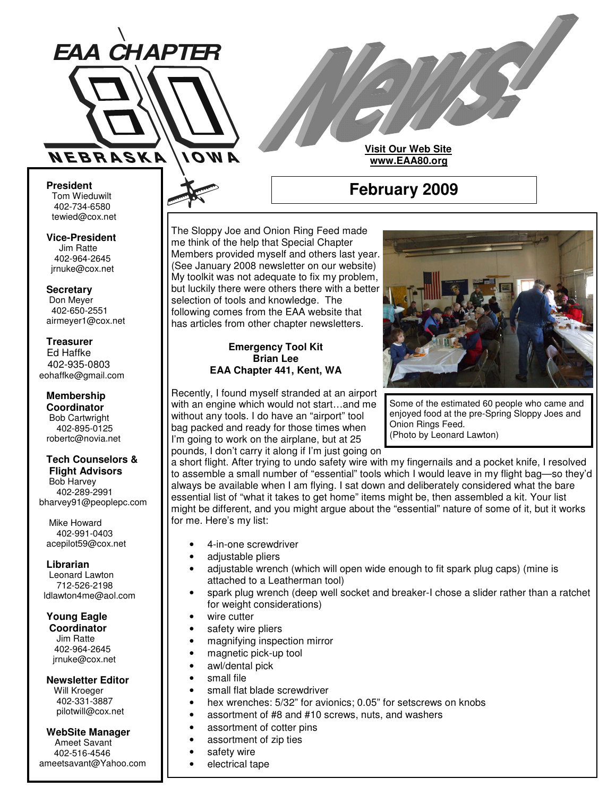

**Visit Our Web Site www.EAA80.org**

**February 2009**

#### **President** Tom Wieduwilt 402-734-6580 tewied@cox.net

**Vice-President** Jim Ratte 402-964-2645 jrnuke@cox.net

**Secretary** Don Meyer 402-650-2551 airmeyer1@cox.net

#### **Treasurer**

Ed Haffke 402-935-0803 eohaffke@gmail.com

#### **Membership Coordinator** Bob Cartwright

402-895-0125 robertc@novia.net

## **Tech Counselors &**

**Flight Advisors** Bob Harvey 402-289-2991 bharvey91@peoplepc.com

Mike Howard 402-991-0403 acepilot59@cox.net

**Librarian** Leonard Lawton 712-526-2198 ldlawton4me@aol.com

**Young Eagle**

**Coordinator** Jim Ratte 402-964-2645 jrnuke@cox.net

#### **Newsletter Editor**

Will Kroeger 402-331-3887 pilotwill@cox.net

## **WebSite Manager**

Ameet Savant 402-516-4546 ameetsavant@Yahoo.com The Sloppy Joe and Onion Ring Feed made me think of the help that Special Chapter Members provided myself and others last year. (See January 2008 newsletter on our website) My toolkit was not adequate to fix my problem, but luckily there were others there with a better selection of tools and knowledge. The following comes from the EAA website that has articles from other chapter newsletters.

## **Emergency Tool Kit Brian Lee EAA Chapter 441, Kent, WA**

Recently, I found myself stranded at an airport with an engine which would not start…and me without any tools. I do have an "airport" tool bag packed and ready for those times when I'm going to work on the airplane, but at 25 pounds, I don't carry it along if I'm just going on



Some of the estimated 60 people who came and enjoyed food at the pre-Spring Sloppy Joes and Onion Rings Feed. (Photo by Leonard Lawton)

a short flight. After trying to undo safety wire with my fingernails and a pocket knife, I resolved to assemble a small number of "essential" tools which I would leave in my flight bag—so they'd always be available when I am flying. I sat down and deliberately considered what the bare essential list of "what it takes to get home" items might be, then assembled a kit. Your list might be different, and you might argue about the "essential" nature of some of it, but it works for me. Here's my list:

- 4-in-one screwdriver
- adjustable pliers
- adjustable wrench (which will open wide enough to fit spark plug caps) (mine is attached to a Leatherman tool)
- spark plug wrench (deep well socket and breaker-I chose a slider rather than a ratchet for weight considerations)
- wire cutter
- safety wire pliers
- magnifying inspection mirror
- magnetic pick-up tool
- awl/dental pick
- small file
- small flat blade screwdriver
- hex wrenches: 5/32" for avionics; 0.05" for setscrews on knobs
- assortment of #8 and #10 screws, nuts, and washers
	- assortment of cotter pins
- assortment of zip ties
- safety wire
- electrical tape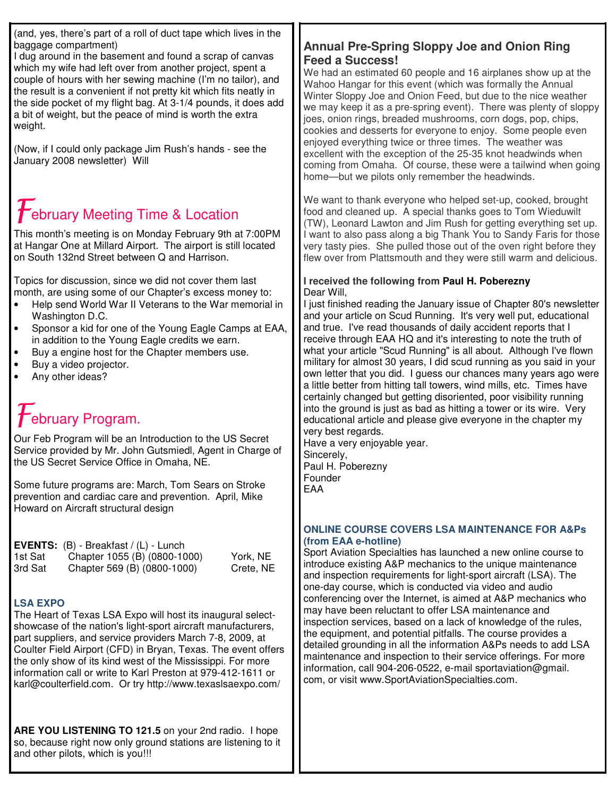(and, yes, there's part of a roll of duct tape which lives in the baggage compartment)

I dug around in the basement and found a scrap of canvas which my wife had left over from another project, spent a couple of hours with her sewing machine (I'm no tailor), and the result is a convenient if not pretty kit which fits neatly in the side pocket of my flight bag. At 3-1/4 pounds, it does add a bit of weight, but the peace of mind is worth the extra weight.

(Now, if I could only package Jim Rush's hands - see the January 2008 newsletter) Will

# $\mathcal{\overline{F}}$ ebruary Meeting Time & Location

This month's meeting is on Monday February 9th at 7:00PM at Hangar One at Millard Airport. The airport is still located on South 132nd Street between Q and Harrison.

Topics for discussion, since we did not cover them last month, are using some of our Chapter's excess money to:

- Help send World War II Veterans to the War memorial in Washington D.C.
- Sponsor a kid for one of the Young Eagle Camps at EAA, in addition to the Young Eagle credits we earn.
- Buy a engine host for the Chapter members use.
- Buy a video projector.
- Any other ideas?

## ${\cal H}$ ebruary Program.

Our Feb Program will be an Introduction to the US Secret Service provided by Mr. John Gutsmiedl, Agent in Charge of the US Secret Service Office in Omaha, NE.

Some future programs are: March, Tom Sears on Stroke prevention and cardiac care and prevention. April, Mike Howard on Aircraft structural design

|         | <b>EVENTS:</b> $(B)$ - Breakfast $/(L)$ - Lunch |           |
|---------|-------------------------------------------------|-----------|
| 1st Sat | Chapter 1055 (B) (0800-1000)                    | York, NE  |
| 3rd Sat | Chapter 569 (B) (0800-1000)                     | Crete, NE |

## **LSA EXPO**

The Heart of Texas LSA Expo will host its inaugural selectshowcase of the nation's light-sport aircraft manufacturers, part suppliers, and service providers March 7-8, 2009, at Coulter Field Airport (CFD) in Bryan, Texas. The event offers the only show of its kind west of the Mississippi. For more information call or write to Karl Preston at 979-412-1611 or karl@coulterfield.com. Or try http://www.texaslsaexpo.com/

**ARE YOU LISTENING TO 121.5** on your 2nd radio. I hope so, because right now only ground stations are listening to it and other pilots, which is you!!!

## **Annual Pre-Spring Sloppy Joe and Onion Ring Feed a Success!**

We had an estimated 60 people and 16 airplanes show up at the Wahoo Hangar for this event (which was formally the Annual Winter Sloppy Joe and Onion Feed, but due to the nice weather we may keep it as a pre-spring event). There was plenty of sloppy joes, onion rings, breaded mushrooms, corn dogs, pop, chips, cookies and desserts for everyone to enjoy. Some people even enjoyed everything twice or three times. The weather was excellent with the exception of the 25-35 knot headwinds when coming from Omaha. Of course, these were a tailwind when going home—but we pilots only remember the headwinds.

We want to thank everyone who helped set-up, cooked, brought food and cleaned up. A special thanks goes to Tom Wieduwilt (TW), Leonard Lawton and Jim Rush for getting everything set up. I want to also pass along a big Thank You to Sandy Faris for those very tasty pies. She pulled those out of the oven right before they flew over from Plattsmouth and they were still warm and delicious.

## **I received the following from Paul H. Poberezny** Dear Will,

I just finished reading the January issue of Chapter 80's newsletter and your article on Scud Running. It's very well put, educational and true. I've read thousands of daily accident reports that I receive through EAA HQ and it's interesting to note the truth of what your article "Scud Running" is all about. Although I've flown military for almost 30 years, I did scud running as you said in your own letter that you did. I guess our chances many years ago were a little better from hitting tall towers, wind mills, etc. Times have certainly changed but getting disoriented, poor visibility running into the ground is just as bad as hitting a tower or its wire. Very educational article and please give everyone in the chapter my very best regards.

Have a very enjoyable year. Sincerely, Paul H. Poberezny Founder EAA

## **ONLINE COURSE COVERS LSA MAINTENANCE FOR A&Ps (from EAA e-hotline)**

Sport Aviation Specialties has launched a new online course to introduce existing A&P mechanics to the unique maintenance and inspection requirements for light-sport aircraft (LSA). The one-day course, which is conducted via video and audio conferencing over the Internet, is aimed at A&P mechanics who may have been reluctant to offer LSA maintenance and inspection services, based on a lack of knowledge of the rules, the equipment, and potential pitfalls. The course provides a detailed grounding in all the information A&Ps needs to add LSA maintenance and inspection to their service offerings. For more information, call 904-206-0522, e-mail sportaviation@gmail. com, or visit www.SportAviationSpecialties.com.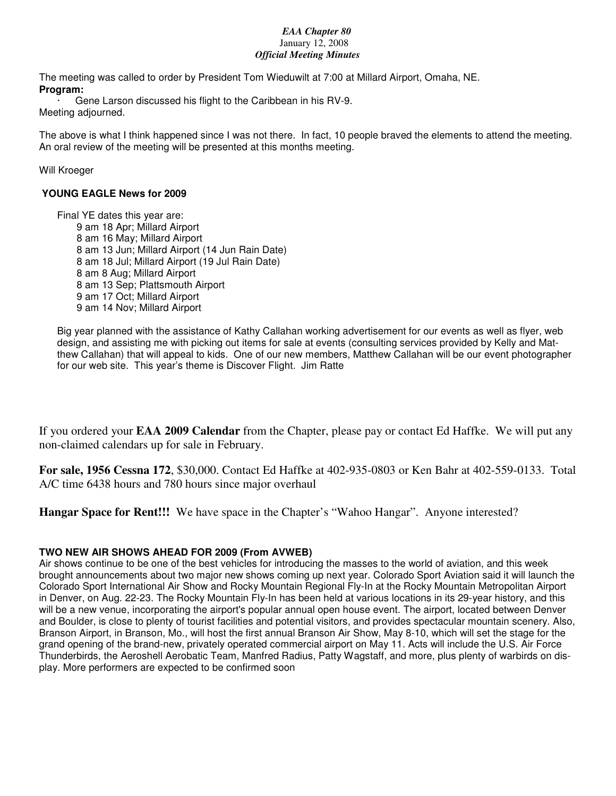## *EAA Chapter 80* January 12, 2008 *Official Meeting Minutes*

The meeting was called to order by President Tom Wieduwilt at 7:00 at Millard Airport, Omaha, NE. **Program:**

Gene Larson discussed his flight to the Caribbean in his RV-9.

Meeting adjourned.

The above is what I think happened since I was not there. In fact, 10 people braved the elements to attend the meeting. An oral review of the meeting will be presented at this months meeting.

## Will Kroeger

## **YOUNG EAGLE News for 2009**

Final YE dates this year are: am 18 Apr; Millard Airport am 16 May; Millard Airport am 13 Jun; Millard Airport (14 Jun Rain Date) am 18 Jul; Millard Airport (19 Jul Rain Date) am 8 Aug; Millard Airport am 13 Sep; Plattsmouth Airport am 17 Oct; Millard Airport am 14 Nov; Millard Airport

Big year planned with the assistance of Kathy Callahan working advertisement for our events as well as flyer, web design, and assisting me with picking out items for sale at events (consulting services provided by Kelly and Matthew Callahan) that will appeal to kids. One of our new members, Matthew Callahan will be our event photographer for our web site. This year's theme is Discover Flight. Jim Ratte

If you ordered your **EAA 2009 Calendar** from the Chapter, please pay or contact Ed Haffke. We will put any non-claimed calendars up for sale in February.

**For sale, 1956 Cessna 172**, \$30,000. Contact Ed Haffke at 402-935-0803 or Ken Bahr at 402-559-0133. Total A/C time 6438 hours and 780 hours since major overhaul

**Hangar Space for Rent!!!** We have space in the Chapter's "Wahoo Hangar". Anyone interested?

## **TWO NEW AIR SHOWS AHEAD FOR 2009 (From AVWEB)**

Air shows continue to be one of the best vehicles for introducing the masses to the world of aviation, and this week brought announcements about two major new shows coming up next year. Colorado Sport Aviation said it will launch the Colorado Sport International Air Show and Rocky Mountain Regional Fly-In at the Rocky Mountain Metropolitan Airport in Denver, on Aug. 22-23. The Rocky Mountain Fly-In has been held at various locations in its 29-year history, and this will be a new venue, incorporating the airport's popular annual open house event. The airport, located between Denver and Boulder, is close to plenty of tourist facilities and potential visitors, and provides spectacular mountain scenery. Also, Branson Airport, in Branson, Mo., will host the first annual Branson Air Show, May 8-10, which will set the stage for the grand opening of the brand-new, privately operated commercial airport on May 11. Acts will include the U.S. Air Force Thunderbirds, the Aeroshell Aerobatic Team, Manfred Radius, Patty Wagstaff, and more, plus plenty of warbirds on display. More performers are expected to be confirmed soon